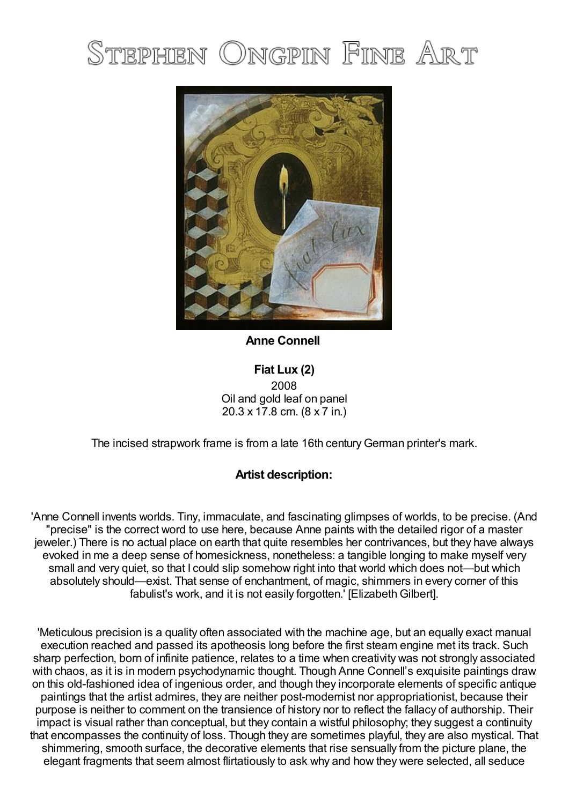## Stephen Ongpin Fine Art



**Anne Connell**

**Fiat Lux (2)** 2008 Oil and gold leaf on panel 20.3 x 17.8 cm. (8 x 7 in.)

The incised strapwork frame is from a late 16th century German printer's mark.

## **Artist description:**

'Anne Connell invents worlds. Tiny, immaculate, and fascinating glimpses of worlds, to be precise. (And "precise" is the correct word to use here, because Anne paints with the detailed rigor of a master jeweler.) There is no actual place on earth that quite resembles her contrivances, but they have always evoked in me a deep sense of homesickness, nonetheless: a tangible longing to make myself very small and very quiet, so that I could slip somehow right into that world which does not—but which absolutely should—exist. That sense of enchantment, of magic, shimmers in every corner of this fabulist's work, and it is not easily forgotten. [Elizabeth Gilbert].

'Meticulous precision is a quality often associated with the machine age, but an equally exact manual execution reached and passed its apotheosis long before the first steam engine met its track. Such sharp perfection, born of infinite patience, relates to a time when creativity was not strongly associated with chaos, as it is in modern psychodynamic thought. Though Anne Connell's exquisite paintings draw on this old-fashioned idea of ingenious order, and though they incorporate elements of specific antique paintings that the artist admires, they are neither post-modernist nor appropriationist, because their purpose is neither to comment on the transience of history nor to reflect the fallacy of authorship. Their impact is visual rather than conceptual, but they contain a wistful philosophy; they suggest a continuity that encompasses the continuity of loss. Though they are sometimes playful, they are also mystical. That shimmering, smooth surface, the decorative elements that rise sensually from the picture plane, the elegant fragments that seem almost flirtatiously to ask why and how they were selected, all seduce